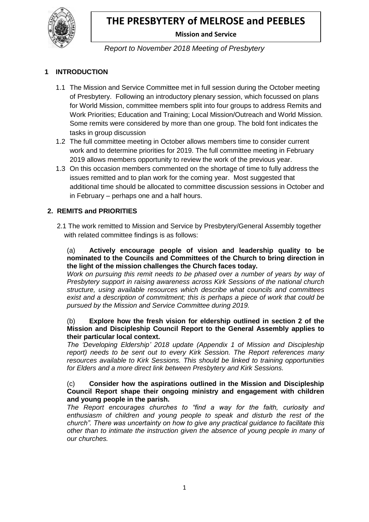

# **Mission and Service**

### *Report to November 2018 Meeting of Presbytery*

### **1 INTRODUCTION**

- 1.1 The Mission and Service Committee met in full session during the October meeting of Presbytery. Following an introductory plenary session, which focussed on plans for World Mission, committee members split into four groups to address Remits and Work Priorities; Education and Training; Local Mission/Outreach and World Mission. Some remits were considered by more than one group. The bold font indicates the tasks in group discussion
- 1.2 The full committee meeting in October allows members time to consider current work and to determine priorities for 2019. The full committee meeting in February 2019 allows members opportunity to review the work of the previous year.
- 1.3 On this occasion members commented on the shortage of time to fully address the issues remitted and to plan work for the coming year. Most suggested that additional time should be allocated to committee discussion sessions in October and in February – perhaps one and a half hours.

### **2. REMITS and PRIORITIES**

 2.1 The work remitted to Mission and Service by Presbytery/General Assembly together with related committee findings is as follows:

(a) **Actively encourage people of vision and leadership quality to be nominated to the Councils and Committees of the Church to bring direction in the light of the mission challenges the Church faces today.**

*Work on pursuing this remit needs to be phased over a number of years by way of Presbytery support in raising awareness across Kirk Sessions of the national church structure, using available resources which describe what councils and committees exist and a description of commitment; this is perhaps a piece of work that could be pursued by the Mission and Service Committee during 2019.*

#### (b) **Explore how the fresh vision for eldership outlined in section 2 of the Mission and Discipleship Council Report to the General Assembly applies to their particular local context.**

*The 'Developing Eldership' 2018 update (Appendix 1 of Mission and Discipleship report) needs to be sent out to every Kirk Session. The Report references many resources available to Kirk Sessions. This should be linked to training opportunities for Elders and a more direct link between Presbytery and Kirk Sessions.*

#### (c) **Consider how the aspirations outlined in the Mission and Discipleship Council Report shape their ongoing ministry and engagement with children and young people in the parish.**

*The Report encourages churches to "find a way for the faith, curiosity and enthusiasm of children and young people to speak and disturb the rest of the church". There was uncertainty on how to give any practical guidance to facilitate this other than to intimate the instruction given the absence of young people in many of our churches.*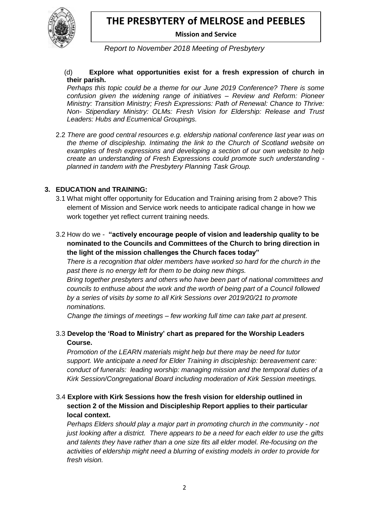

 **Mission and Service**

*Report to November 2018 Meeting of Presbytery*

#### (d) **Explore what opportunities exist for a fresh expression of church in their parish.**

*Perhaps this topic could be a theme for our June 2019 Conference? There is some confusion given the widening range of initiatives – Review and Reform: Pioneer Ministry: Transition Ministry; Fresh Expressions: Path of Renewal: Chance to Thrive: Non- Stipendiary Ministry: OLMs: Fresh Vision for Eldership: Release and Trust Leaders: Hubs and Ecumenical Groupings.*

2.2 *There are good central resources e.g. eldership national conference last year was on the theme of discipleship. Intimating the link to the Church of Scotland website on examples of fresh expressions and developing a section of our own website to help create an understanding of Fresh Expressions could promote such understanding planned in tandem with the Presbytery Planning Task Group.*

### **3. EDUCATION and TRAINING:**

- 3.1 What might offer opportunity for Education and Training arising from 2 above? This element of Mission and Service work needs to anticipate radical change in how we work together yet reflect current training needs.
- 3.2 How do we **"actively encourage people of vision and leadership quality to be nominated to the Councils and Committees of the Church to bring direction in the light of the mission challenges the Church faces today"**

*There is a recognition that older members have worked so hard for the church in the past there is no energy left for them to be doing new things.*

*Bring together presbyters and others who have been part of national committees and councils to enthuse about the work and the worth of being part of a Council followed by a series of visits by some to all Kirk Sessions over 2019/20/21 to promote nominations.*

 *Change the timings of meetings – few working full time can take part at present.*

### 3.3 **Develop the 'Road to Ministry' chart as prepared for the Worship Leaders Course.**

*Promotion of the LEARN materials might help but there may be need for tutor support. We anticipate a need for Elder Training in discipleship: bereavement care: conduct of funerals: leading worship: managing mission and the temporal duties of a Kirk Session/Congregational Board including moderation of Kirk Session meetings.*

### 3.4 **Explore with Kirk Sessions how the fresh vision for eldership outlined in section 2 of the Mission and Discipleship Report applies to their particular local context.**

*Perhaps Elders should play a major part in promoting church in the community - not just looking after a district. There appears to be a need for each elder to use the gifts and talents they have rather than a one size fits all elder model. Re-focusing on the activities of eldership might need a blurring of existing models in order to provide for fresh vision.*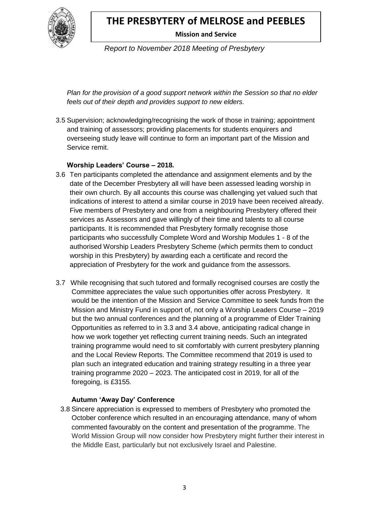

 **Mission and Service**

*Report to November 2018 Meeting of Presbytery*

*Plan for the provision of a good support network within the Session so that no elder feels out of their depth and provides support to new elders.*

3.5 Supervision; acknowledging/recognising the work of those in training; appointment and training of assessors; providing placements for students enquirers and overseeing study leave will continue to form an important part of the Mission and Service remit.

### **Worship Leaders' Course – 2018.**

- 3.6 Ten participants completed the attendance and assignment elements and by the date of the December Presbytery all will have been assessed leading worship in their own church. By all accounts this course was challenging yet valued such that indications of interest to attend a similar course in 2019 have been received already. Five members of Presbytery and one from a neighbouring Presbytery offered their services as Assessors and gave willingly of their time and talents to all course participants. It is recommended that Presbytery formally recognise those participants who successfully Complete Word and Worship Modules 1 - 8 of the authorised Worship Leaders Presbytery Scheme (which permits them to conduct worship in this Presbytery) by awarding each a certificate and record the appreciation of Presbytery for the work and guidance from the assessors.
- 3.7 While recognising that such tutored and formally recognised courses are costly the Committee appreciates the value such opportunities offer across Presbytery. It would be the intention of the Mission and Service Committee to seek funds from the Mission and Ministry Fund in support of, not only a Worship Leaders Course – 2019 but the two annual conferences and the planning of a programme of Elder Training Opportunities as referred to in 3.3 and 3.4 above, anticipating radical change in how we work together yet reflecting current training needs. Such an integrated training programme would need to sit comfortably with current presbytery planning and the Local Review Reports. The Committee recommend that 2019 is used to plan such an integrated education and training strategy resulting in a three year training programme 2020 – 2023. The anticipated cost in 2019, for all of the foregoing, is £3155.

### **Autumn 'Away Day' Conference**

3.8 Sincere appreciation is expressed to members of Presbytery who promoted the October conference which resulted in an encouraging attendance, many of whom commented favourably on the content and presentation of the programme. The World Mission Group will now consider how Presbytery might further their interest in the Middle East, particularly but not exclusively Israel and Palestine.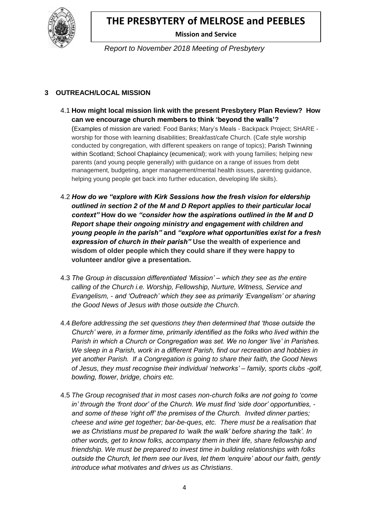

 **Mission and Service**

*Report to November 2018 Meeting of Presbytery*

### **3 OUTREACH/LOCAL MISSION**

- 4.1 **How might local mission link with the present Presbytery Plan Review? How can we encourage church members to think 'beyond the walls'?**  (Examples of mission are varied: Food Banks; Mary's Meals - Backpack Project; SHARE worship for those with learning disabilities; Breakfast/cafe Church. (Cafe style worship conducted by congregation, with different speakers on range of topics); Parish Twinning within Scotland; School Chaplaincy (ecumenical); work with young families; helping new parents (and young people generally) with guidance on a range of issues from debt management, budgeting, anger management/mental health issues, parenting guidance, helping young people get back into further education, developing life skills).
- 4.2 *How do we "explore with Kirk Sessions how the fresh vision for eldership outlined in section 2 of the M and D Report applies to their particular local context"* **How do we** *"consider how the aspirations outlined in the M and D Report shape their ongoing ministry and engagement with children and young people in the parish"* **and** *"explore what opportunities exist for a fresh expression of church in their parish"* **Use the wealth of experience and wisdom of older people which they could share if they were happy to volunteer and/or give a presentation.**
- 4.3 *The Group in discussion differentiated 'Mission' – which they see as the entire calling of the Church i.e. Worship, Fellowship, Nurture, Witness, Service and Evangelism, - and 'Outreach' which they see as primarily 'Evangelism' or sharing the Good News of Jesus with those outside the Church.*
- 4.4 *Before addressing the set questions they then determined that 'those outside the Church' were, in a former time, primarily identified as the folks who lived within the Parish in which a Church or Congregation was set. We no longer 'live' in Parishes. We sleep in a Parish, work in a different Parish, find our recreation and hobbies in yet another Parish. If a Congregation is going to share their faith, the Good News of Jesus, they must recognise their individual 'networks' – family, sports clubs -golf, bowling, flower, bridge, choirs etc.*
- 4.5 *The Group recognised that in most cases non-church folks are not going to 'come in' through the 'front door' of the Church. We must find 'side door' opportunities, and some of these 'right off' the premises of the Church. Invited dinner parties; cheese and wine get together; bar-be-ques, etc. There must be a realisation that we as Christians must be prepared to 'walk the walk' before sharing the 'talk'. In other words, get to know folks, accompany them in their life, share fellowship and friendship. We must be prepared to invest time in building relationships with folks outside the Church, let them see our lives, let them 'enquire' about our faith, gently introduce what motivates and drives us as Christians*.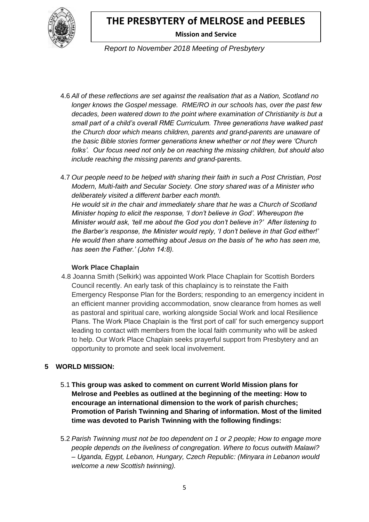

 **Mission and Service**

*Report to November 2018 Meeting of Presbytery*

4.6 *All of these reflections are set against the realisation that as a Nation, Scotland no longer knows the Gospel message. RME/RO in our schools has, over the past few decades, been watered down to the point where examination of Christianity is but a small part of a child's overall RME Curriculum. Three generations have walked past the Church door which means children, parents and grand-parents are unaware of the basic Bible stories former generations knew whether or not they were 'Church folks'. Our focus need not only be on reaching the missing children, but should also include reaching the missing parents and grand*-parents.

4.7 *Our people need to be helped with sharing their faith in such a Post Christian, Post Modern, Multi-faith and Secular Society. One story shared was of a Minister who deliberately visited a different barber each month. He would sit in the chair and immediately share that he was a Church of Scotland Minister hoping to elicit the response, 'I don't believe in God'. Whereupon the Minister would ask, 'tell me about the God you don't believe in?' After listening to the Barber's response, the Minister would reply, 'I don't believe in that God either!' He would then share something about Jesus on the basis of 'he who has seen me, has seen the Father.' (John 14:8).*

### **Work Place Chaplain**

4.8 Joanna Smith (Selkirk) was appointed Work Place Chaplain for Scottish Borders Council recently. An early task of this chaplaincy is to reinstate the Faith Emergency Response Plan for the Borders; responding to an emergency incident in an efficient manner providing accommodation, snow clearance from homes as well as pastoral and spiritual care, working alongside Social Work and local Resilience Plans. The Work Place Chaplain is the 'first port of call' for such emergency support leading to contact with members from the local faith community who will be asked to help. Our Work Place Chaplain seeks prayerful support from Presbytery and an opportunity to promote and seek local involvement.

### **5 WORLD MISSION:**

- 5.1 **This group was asked to comment on current World Mission plans for Melrose and Peebles as outlined at the beginning of the meeting: How to encourage an international dimension to the work of parish churches; Promotion of Parish Twinning and Sharing of information. Most of the limited time was devoted to Parish Twinning with the following findings:**
- 5.2 *Parish Twinning must not be too dependent on 1 or 2 people; How to engage more people depends on the liveliness of congregation. Where to focus outwith Malawi? – Uganda, Egypt, Lebanon, Hungary, Czech Republic: (Minyara in Lebanon would welcome a new Scottish twinning).*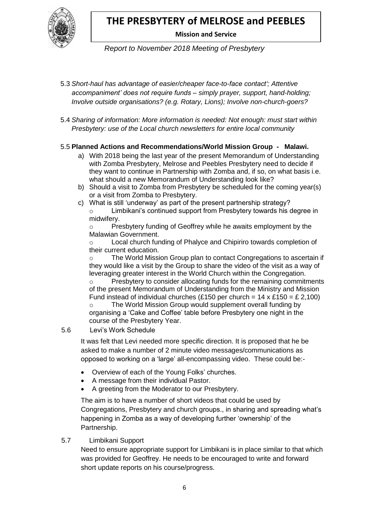

# **Mission and Service**

*Report to November 2018 Meeting of Presbytery*

- 5.3 *Short-haul has advantage of easier/cheaper face-to-face contact'; Attentive accompaniment' does not require funds – simply prayer, support, hand-holding; Involve outside organisations? (e.g. Rotary, Lions); Involve non-church-goers?*
- 5.4 *Sharing of information: More information is needed: Not enough: must start within Presbytery: use of the Local church newsletters for entire local community*

### 5.5 **Planned Actions and Recommendations/World Mission Group - Malawi.**

- a) With 2018 being the last year of the present Memorandum of Understanding with Zomba Presbytery, Melrose and Peebles Presbytery need to decide if they want to continue in Partnership with Zomba and, if so, on what basis i.e. what should a new Memorandum of Understanding look like?
- b) Should a visit to Zomba from Presbytery be scheduled for the coming year(s) or a visit from Zomba to Presbytery.
- c) What is still 'underway' as part of the present partnership strategy? o Limbikani's continued support from Presbytery towards his degree in midwifery.

o Presbytery funding of Geoffrey while he awaits employment by the Malawian Government.

o Local church funding of Phalyce and Chipiriro towards completion of their current education.

 $\circ$  The World Mission Group plan to contact Congregations to ascertain if they would like a visit by the Group to share the video of the visit as a way of leveraging greater interest in the World Church within the Congregation. o Presbytery to consider allocating funds for the remaining commitments of the present Memorandum of Understanding from the Ministry and Mission Fund instead of individual churches (£150 per church =  $14 \times £150 = £2,100$ ) The World Mission Group would supplement overall funding by organising a 'Cake and Coffee' table before Presbytery one night in the course of the Presbytery Year.

5.6 Levi's Work Schedule

It was felt that Levi needed more specific direction. It is proposed that he be asked to make a number of 2 minute video messages/communications as opposed to working on a 'large' all-encompassing video. These could be:-

- Overview of each of the Young Folks' churches.
- A message from their individual Pastor.
- A greeting from the Moderator to our Presbytery.

The aim is to have a number of short videos that could be used by Congregations, Presbytery and church groups., in sharing and spreading what's happening in Zomba as a way of developing further 'ownership' of the Partnership.

### 5.7 Limbikani Support

Need to ensure appropriate support for Limbikani is in place similar to that which was provided for Geoffrey. He needs to be encouraged to write and forward short update reports on his course/progress.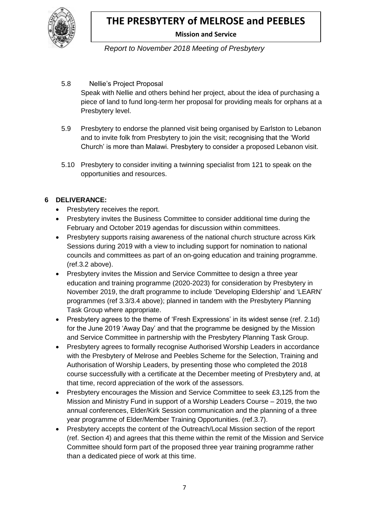

# **Mission and Service**

*Report to November 2018 Meeting of Presbytery*

5.8 Nellie's Project Proposal

Speak with Nellie and others behind her project, about the idea of purchasing a piece of land to fund long-term her proposal for providing meals for orphans at a Presbytery level.

- 5.9 Presbytery to endorse the planned visit being organised by Earlston to Lebanon and to invite folk from Presbytery to join the visit; recognising that the 'World Church' is more than Malawi. Presbytery to consider a proposed Lebanon visit.
- 5.10 Presbytery to consider inviting a twinning specialist from 121 to speak on the opportunities and resources.

### **6 DELIVERANCE:**

- Presbytery receives the report.
- Presbytery invites the Business Committee to consider additional time during the February and October 2019 agendas for discussion within committees.
- Presbytery supports raising awareness of the national church structure across Kirk Sessions during 2019 with a view to including support for nomination to national councils and committees as part of an on-going education and training programme. (ref.3.2 above).
- Presbytery invites the Mission and Service Committee to design a three year education and training programme (2020-2023) for consideration by Presbytery in November 2019, the draft programme to include 'Developing Eldership' and 'LEARN' programmes (ref 3.3/3.4 above); planned in tandem with the Presbytery Planning Task Group where appropriate.
- Presbytery agrees to the theme of 'Fresh Expressions' in its widest sense (ref. 2.1d) for the June 2019 'Away Day' and that the programme be designed by the Mission and Service Committee in partnership with the Presbytery Planning Task Group.
- Presbytery agrees to formally recognise Authorised Worship Leaders in accordance with the Presbytery of Melrose and Peebles Scheme for the Selection, Training and Authorisation of Worship Leaders, by presenting those who completed the 2018 course successfully with a certificate at the December meeting of Presbytery and, at that time, record appreciation of the work of the assessors.
- Presbytery encourages the Mission and Service Committee to seek £3,125 from the Mission and Ministry Fund in support of a Worship Leaders Course – 2019, the two annual conferences, Elder/Kirk Session communication and the planning of a three year programme of Elder/Member Training Opportunities. (ref.3.7).
- Presbytery accepts the content of the Outreach/Local Mission section of the report (ref. Section 4) and agrees that this theme within the remit of the Mission and Service Committee should form part of the proposed three year training programme rather than a dedicated piece of work at this time.